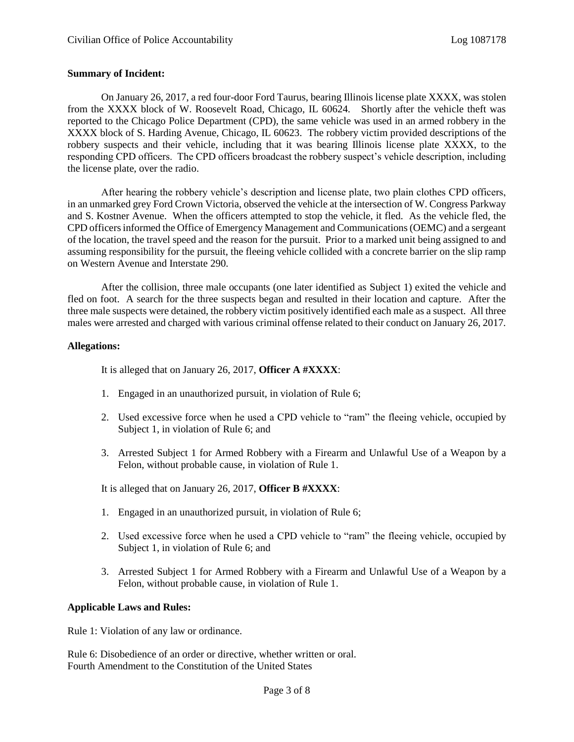# **Summary of Incident:**

On January 26, 2017, a red four-door Ford Taurus, bearing Illinois license plate XXXX, was stolen from the XXXX block of W. Roosevelt Road, Chicago, IL 60624. Shortly after the vehicle theft was reported to the Chicago Police Department (CPD), the same vehicle was used in an armed robbery in the XXXX block of S. Harding Avenue, Chicago, IL 60623. The robbery victim provided descriptions of the robbery suspects and their vehicle, including that it was bearing Illinois license plate XXXX, to the responding CPD officers. The CPD officers broadcast the robbery suspect's vehicle description, including the license plate, over the radio.

After hearing the robbery vehicle's description and license plate, two plain clothes CPD officers, in an unmarked grey Ford Crown Victoria, observed the vehicle at the intersection of W. Congress Parkway and S. Kostner Avenue. When the officers attempted to stop the vehicle, it fled. As the vehicle fled, the CPD officers informed the Office of Emergency Management and Communications (OEMC) and a sergeant of the location, the travel speed and the reason for the pursuit. Prior to a marked unit being assigned to and assuming responsibility for the pursuit, the fleeing vehicle collided with a concrete barrier on the slip ramp on Western Avenue and Interstate 290.

After the collision, three male occupants (one later identified as Subject 1) exited the vehicle and fled on foot. A search for the three suspects began and resulted in their location and capture. After the three male suspects were detained, the robbery victim positively identified each male as a suspect. All three males were arrested and charged with various criminal offense related to their conduct on January 26, 2017.

# **Allegations:**

It is alleged that on January 26, 2017, **Officer A #XXXX**:

- 1. Engaged in an unauthorized pursuit, in violation of Rule 6;
- 2. Used excessive force when he used a CPD vehicle to "ram" the fleeing vehicle, occupied by Subject 1, in violation of Rule 6; and
- 3. Arrested Subject 1 for Armed Robbery with a Firearm and Unlawful Use of a Weapon by a Felon, without probable cause, in violation of Rule 1.

It is alleged that on January 26, 2017, **Officer B #XXXX**:

- 1. Engaged in an unauthorized pursuit, in violation of Rule 6;
- 2. Used excessive force when he used a CPD vehicle to "ram" the fleeing vehicle, occupied by Subject 1, in violation of Rule 6; and
- 3. Arrested Subject 1 for Armed Robbery with a Firearm and Unlawful Use of a Weapon by a Felon, without probable cause, in violation of Rule 1.

# **Applicable Laws and Rules:**

Rule 1: Violation of any law or ordinance.

Rule 6: Disobedience of an order or directive, whether written or oral. Fourth Amendment to the Constitution of the United States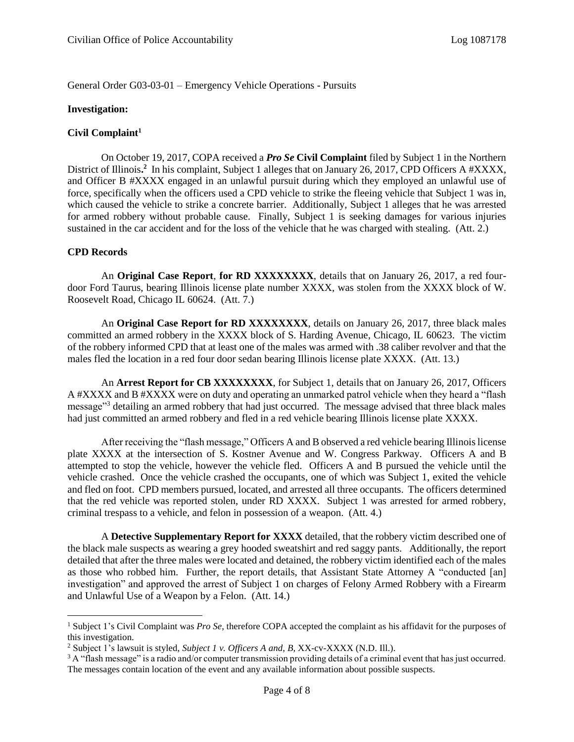General Order G03-03-01 – Emergency Vehicle Operations - Pursuits

#### **Investigation:**

# **Civil Complaint<sup>1</sup>**

On October 19, 2017, COPA received a *Pro Se* **Civil Complaint** filed by Subject 1 in the Northern District of Illinois.<sup>2</sup> In his complaint, Subject 1 alleges that on January 26, 2017, CPD Officers A #XXXX, and Officer B #XXXX engaged in an unlawful pursuit during which they employed an unlawful use of force, specifically when the officers used a CPD vehicle to strike the fleeing vehicle that Subject 1 was in, which caused the vehicle to strike a concrete barrier. Additionally, Subject 1 alleges that he was arrested for armed robbery without probable cause. Finally, Subject 1 is seeking damages for various injuries sustained in the car accident and for the loss of the vehicle that he was charged with stealing. (Att. 2.)

# **CPD Records**

l

An **Original Case Report**, **for RD XXXXXXXX**, details that on January 26, 2017, a red fourdoor Ford Taurus, bearing Illinois license plate number XXXX, was stolen from the XXXX block of W. Roosevelt Road, Chicago IL 60624. (Att. 7.)

An **Original Case Report for RD XXXXXXXX**, details on January 26, 2017, three black males committed an armed robbery in the XXXX block of S. Harding Avenue, Chicago, IL 60623. The victim of the robbery informed CPD that at least one of the males was armed with .38 caliber revolver and that the males fled the location in a red four door sedan bearing Illinois license plate XXXX. (Att. 13.)

An **Arrest Report for CB XXXXXXXX**, for Subject 1, details that on January 26, 2017, Officers A #XXXX and B #XXXX were on duty and operating an unmarked patrol vehicle when they heard a "flash message<sup>33</sup> detailing an armed robbery that had just occurred. The message advised that three black males had just committed an armed robbery and fled in a red vehicle bearing Illinois license plate XXXX.

After receiving the "flash message," Officers A and B observed a red vehicle bearing Illinois license plate XXXX at the intersection of S. Kostner Avenue and W. Congress Parkway. Officers A and B attempted to stop the vehicle, however the vehicle fled. Officers A and B pursued the vehicle until the vehicle crashed. Once the vehicle crashed the occupants, one of which was Subject 1, exited the vehicle and fled on foot. CPD members pursued, located, and arrested all three occupants. The officers determined that the red vehicle was reported stolen, under RD XXXX. Subject 1 was arrested for armed robbery, criminal trespass to a vehicle, and felon in possession of a weapon. (Att. 4.)

A **Detective Supplementary Report for XXXX** detailed, that the robbery victim described one of the black male suspects as wearing a grey hooded sweatshirt and red saggy pants. Additionally, the report detailed that after the three males were located and detained, the robbery victim identified each of the males as those who robbed him. Further, the report details, that Assistant State Attorney A "conducted [an] investigation" and approved the arrest of Subject 1 on charges of Felony Armed Robbery with a Firearm and Unlawful Use of a Weapon by a Felon. (Att. 14.)

<sup>1</sup> Subject 1's Civil Complaint was *Pro Se*, therefore COPA accepted the complaint as his affidavit for the purposes of this investigation.

<sup>2</sup> Subject 1's lawsuit is styled, *Subject 1 v. Officers A and, B,* XX-cv-XXXX (N.D. Ill.).

<sup>&</sup>lt;sup>3</sup> A "flash message" is a radio and/or computer transmission providing details of a criminal event that has just occurred. The messages contain location of the event and any available information about possible suspects.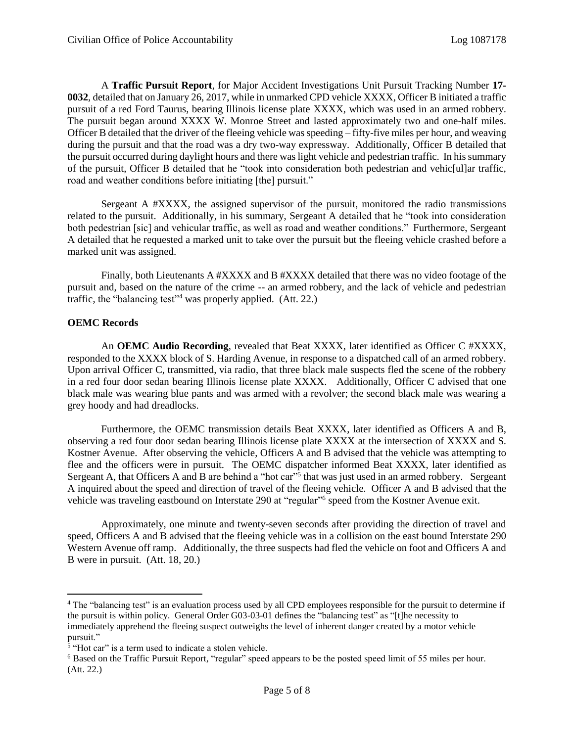A **Traffic Pursuit Report**, for Major Accident Investigations Unit Pursuit Tracking Number **17- 0032**, detailed that on January 26, 2017, while in unmarked CPD vehicle XXXX, Officer B initiated a traffic pursuit of a red Ford Taurus, bearing Illinois license plate XXXX, which was used in an armed robbery. The pursuit began around XXXX W. Monroe Street and lasted approximately two and one-half miles. Officer B detailed that the driver of the fleeing vehicle was speeding – fifty-five miles per hour, and weaving during the pursuit and that the road was a dry two-way expressway. Additionally, Officer B detailed that the pursuit occurred during daylight hours and there was light vehicle and pedestrian traffic. In his summary of the pursuit, Officer B detailed that he "took into consideration both pedestrian and vehic[ul]ar traffic, road and weather conditions before initiating [the] pursuit."

Sergeant A #XXXX, the assigned supervisor of the pursuit, monitored the radio transmissions related to the pursuit. Additionally, in his summary, Sergeant A detailed that he "took into consideration both pedestrian [sic] and vehicular traffic, as well as road and weather conditions." Furthermore, Sergeant A detailed that he requested a marked unit to take over the pursuit but the fleeing vehicle crashed before a marked unit was assigned.

Finally, both Lieutenants A #XXXX and B #XXXX detailed that there was no video footage of the pursuit and, based on the nature of the crime -- an armed robbery, and the lack of vehicle and pedestrian traffic, the "balancing test"<sup>4</sup> was properly applied. (Att. 22.)

# **OEMC Records**

 $\overline{\phantom{a}}$ 

An **OEMC** Audio Recording, revealed that Beat XXXX, later identified as Officer C #XXXX, responded to the XXXX block of S. Harding Avenue, in response to a dispatched call of an armed robbery. Upon arrival Officer C, transmitted, via radio, that three black male suspects fled the scene of the robbery in a red four door sedan bearing Illinois license plate XXXX. Additionally, Officer C advised that one black male was wearing blue pants and was armed with a revolver; the second black male was wearing a grey hoody and had dreadlocks.

Furthermore, the OEMC transmission details Beat XXXX, later identified as Officers A and B, observing a red four door sedan bearing Illinois license plate XXXX at the intersection of XXXX and S. Kostner Avenue. After observing the vehicle, Officers A and B advised that the vehicle was attempting to flee and the officers were in pursuit. The OEMC dispatcher informed Beat XXXX, later identified as Sergeant A, that Officers A and B are behind a "hot car"<sup>5</sup> that was just used in an armed robbery. Sergeant A inquired about the speed and direction of travel of the fleeing vehicle. Officer A and B advised that the vehicle was traveling eastbound on Interstate 290 at "regular"<sup>6</sup> speed from the Kostner Avenue exit.

Approximately, one minute and twenty-seven seconds after providing the direction of travel and speed, Officers A and B advised that the fleeing vehicle was in a collision on the east bound Interstate 290 Western Avenue off ramp. Additionally, the three suspects had fled the vehicle on foot and Officers A and B were in pursuit. (Att. 18, 20.)

<sup>4</sup> The "balancing test" is an evaluation process used by all CPD employees responsible for the pursuit to determine if the pursuit is within policy. General Order G03-03-01 defines the "balancing test" as "[t]he necessity to immediately apprehend the fleeing suspect outweighs the level of inherent danger created by a motor vehicle pursuit."

<sup>&</sup>lt;sup>5</sup> "Hot car" is a term used to indicate a stolen vehicle.

<sup>6</sup> Based on the Traffic Pursuit Report, "regular" speed appears to be the posted speed limit of 55 miles per hour. (Att. 22.)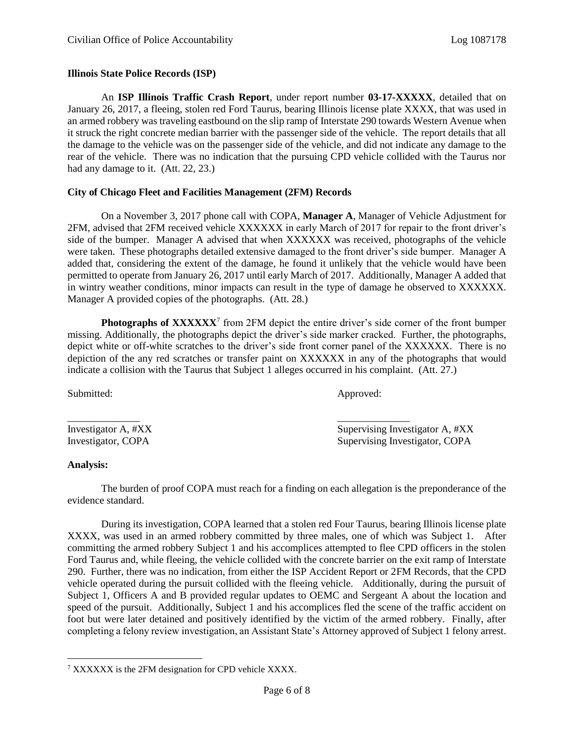#### **Illinois State Police Records (ISP)**

An **ISP Illinois Traffic Crash Report**, under report number **03-17-XXXXX**, detailed that on January 26, 2017, a fleeing, stolen red Ford Taurus, bearing Illinois license plate XXXX, that was used in an armed robbery was traveling eastbound on the slip ramp of Interstate 290 towards Western Avenue when it struck the right concrete median barrier with the passenger side of the vehicle. The report details that all the damage to the vehicle was on the passenger side of the vehicle, and did not indicate any damage to the rear of the vehicle. There was no indication that the pursuing CPD vehicle collided with the Taurus nor had any damage to it. (Att. 22, 23.)

# **City of Chicago Fleet and Facilities Management (2FM) Records**

On a November 3, 2017 phone call with COPA, **Manager A**, Manager of Vehicle Adjustment for 2FM, advised that 2FM received vehicle XXXXXX in early March of 2017 for repair to the front driver's side of the bumper. Manager A advised that when XXXXXX was received, photographs of the vehicle were taken. These photographs detailed extensive damaged to the front driver's side bumper. Manager A added that, considering the extent of the damage, he found it unlikely that the vehicle would have been permitted to operate from January 26, 2017 until early March of 2017. Additionally, Manager A added that in wintry weather conditions, minor impacts can result in the type of damage he observed to XXXXXX. Manager A provided copies of the photographs. (Att. 28.)

Photographs of XXXXXX<sup>7</sup> from 2FM depict the entire driver's side corner of the front bumper missing. Additionally, the photographs depict the driver's side marker cracked. Further, the photographs, depict white or off-white scratches to the driver's side front corner panel of the XXXXXX. There is no depiction of the any red scratches or transfer paint on XXXXXX in any of the photographs that would indicate a collision with the Taurus that Subject 1 alleges occurred in his complaint. (Att. 27.)

Submitted: Approved:

\_\_\_\_\_\_\_\_\_\_\_\_\_\_ \_\_\_\_\_\_\_\_\_\_\_\_\_\_ Investigator A, #XX Supervising Investigator A, #XX Investigator, COPA Supervising Investigator, COPA

#### **Analysis:**

The burden of proof COPA must reach for a finding on each allegation is the preponderance of the evidence standard.

During its investigation, COPA learned that a stolen red Four Taurus, bearing Illinois license plate XXXX, was used in an armed robbery committed by three males, one of which was Subject 1. After committing the armed robbery Subject 1 and his accomplices attempted to flee CPD officers in the stolen Ford Taurus and, while fleeing, the vehicle collided with the concrete barrier on the exit ramp of Interstate 290. Further, there was no indication, from either the ISP Accident Report or 2FM Records, that the CPD vehicle operated during the pursuit collided with the fleeing vehicle. Additionally, during the pursuit of Subject 1, Officers A and B provided regular updates to OEMC and Sergeant A about the location and speed of the pursuit. Additionally, Subject 1 and his accomplices fled the scene of the traffic accident on foot but were later detained and positively identified by the victim of the armed robbery. Finally, after completing a felony review investigation, an Assistant State's Attorney approved of Subject 1 felony arrest.

 $\overline{\phantom{a}}$ <sup>7</sup> XXXXXX is the 2FM designation for CPD vehicle XXXX.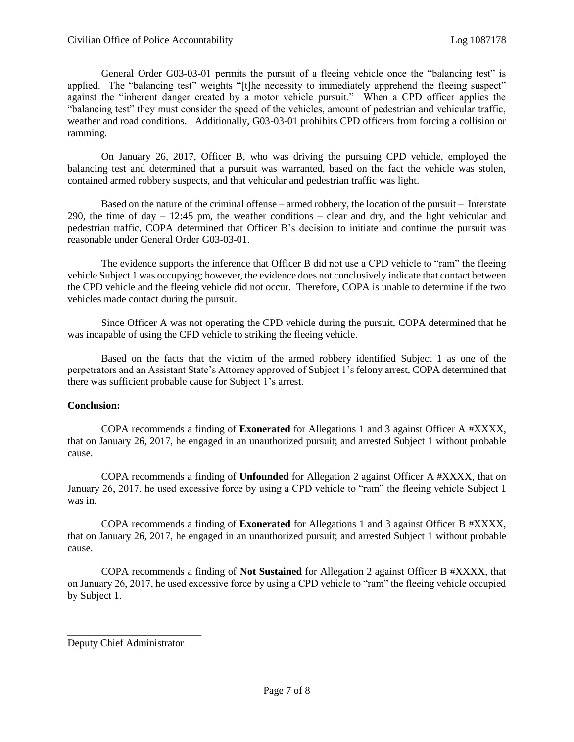General Order G03-03-01 permits the pursuit of a fleeing vehicle once the "balancing test" is applied. The "balancing test" weights "[t]he necessity to immediately apprehend the fleeing suspect" against the "inherent danger created by a motor vehicle pursuit." When a CPD officer applies the "balancing test" they must consider the speed of the vehicles, amount of pedestrian and vehicular traffic, weather and road conditions. Additionally, G03-03-01 prohibits CPD officers from forcing a collision or ramming.

On January 26, 2017, Officer B, who was driving the pursuing CPD vehicle, employed the balancing test and determined that a pursuit was warranted, based on the fact the vehicle was stolen, contained armed robbery suspects, and that vehicular and pedestrian traffic was light.

Based on the nature of the criminal offense – armed robbery, the location of the pursuit – Interstate 290, the time of day – 12:45 pm, the weather conditions – clear and dry, and the light vehicular and pedestrian traffic, COPA determined that Officer B's decision to initiate and continue the pursuit was reasonable under General Order G03-03-01.

The evidence supports the inference that Officer B did not use a CPD vehicle to "ram" the fleeing vehicle Subject 1 was occupying; however, the evidence does not conclusively indicate that contact between the CPD vehicle and the fleeing vehicle did not occur. Therefore, COPA is unable to determine if the two vehicles made contact during the pursuit.

Since Officer A was not operating the CPD vehicle during the pursuit, COPA determined that he was incapable of using the CPD vehicle to striking the fleeing vehicle.

Based on the facts that the victim of the armed robbery identified Subject 1 as one of the perpetrators and an Assistant State's Attorney approved of Subject 1's felony arrest, COPA determined that there was sufficient probable cause for Subject 1's arrest.

# **Conclusion:**

COPA recommends a finding of **Exonerated** for Allegations 1 and 3 against Officer A #XXXX, that on January 26, 2017, he engaged in an unauthorized pursuit; and arrested Subject 1 without probable cause.

COPA recommends a finding of **Unfounded** for Allegation 2 against Officer A #XXXX, that on January 26, 2017, he used excessive force by using a CPD vehicle to "ram" the fleeing vehicle Subject 1 was in.

COPA recommends a finding of **Exonerated** for Allegations 1 and 3 against Officer B #XXXX, that on January 26, 2017, he engaged in an unauthorized pursuit; and arrested Subject 1 without probable cause.

COPA recommends a finding of **Not Sustained** for Allegation 2 against Officer B #XXXX, that on January 26, 2017, he used excessive force by using a CPD vehicle to "ram" the fleeing vehicle occupied by Subject 1.

Deputy Chief Administrator

\_\_\_\_\_\_\_\_\_\_\_\_\_\_\_\_\_\_\_\_\_\_\_\_\_\_